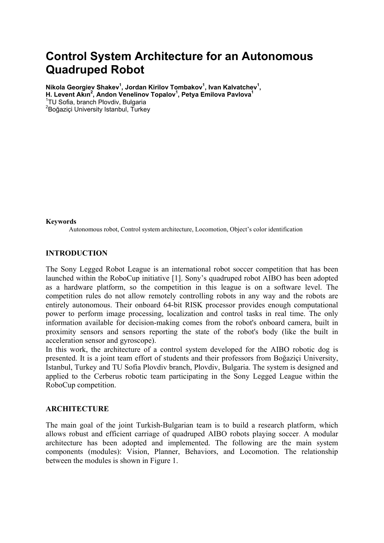# **Control System Architecture for an Autonomous Quadruped Robot**

Nikola Georgiev Shakev<sup>1</sup>, Jordan Kirilov Tombakov<sup>1</sup>, Ivan Kalvatchev<sup>1</sup>, **H. Levent Akin<sup>2</sup>, Andon Venelinov Topalov<sup>1</sup>, Petya Emilova Pavlova<sup>1</sup>** 

1 TU Sofia, branch Plovdiv, Bulgaria

<sup>2</sup>Boğaziçi University Istanbul, Turkey

#### **Keywords**

Autonomous robot, Control system architecture, Locomotion, Object's color identification

#### **INTRODUCTION**

The Sony Legged Robot League is an international robot soccer competition that has been launched within the RoboCup initiative [1]. Sony's quadruped robot AIBO has been adopted as a hardware platform, so the competition in this league is on a software level. The competition rules do not allow remotely controlling robots in any way and the robots are entirely autonomous. Their onboard 64-bit RISK processor provides enough computational power to perform image processing, localization and control tasks in real time. The only information available for decision-making comes from the robot's onboard camera, built in proximity sensors and sensors reporting the state of the robot's body (like the built in acceleration sensor and gyroscope).

In this work, the architecture of a control system developed for the AIBO robotic dog is presented. It is a joint team effort of students and their professors from Boğaziçi University, Istanbul, Turkey and TU Sofia Plovdiv branch, Plovdiv, Bulgaria. The system is designed and applied to the Cerberus robotic team participating in the Sony Legged League within the RoboCup competition.

#### **ARCHITECTURE**

The main goal of the joint Turkish-Bulgarian team is to build a research platform, which allows robust and efficient carriage of quadruped AIBO robots playing soccer. A modular architecture has been adopted and implemented. The following are the main system components (modules): Vision, Planner, Behaviors, and Locomotion. The relationship between the modules is shown in Figure 1.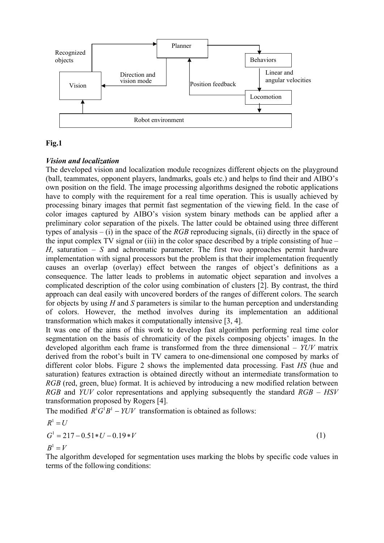

## **Fig.1**

## *Vision and localization*

The developed vision and localization module recognizes different objects on the playground (ball, teammates, opponent players, landmarks, goals etc.) and helps to find their and AIBO's own position on the field. The image processing algorithms designed the robotic applications have to comply with the requirement for a real time operation. This is usually achieved by processing binary images that permit fast segmentation of the viewing field. In the case of color images captured by AIBO's vision system binary methods can be applied after a preliminary color separation of the pixels. The latter could be obtained using three different types of analysis – (i) in the space of the *RGB* reproducing signals, (ii) directly in the space of the input complex TV signal or (iii) in the color space described by a triple consisting of hue  $-$ *H*, saturation – *S* and achromatic parameter. The first two approaches permit hardware implementation with signal processors but the problem is that their implementation frequently causes an overlap (overlay) effect between the ranges of object's definitions as a consequence. The latter leads to problems in automatic object separation and involves a complicated description of the color using combination of clusters [2]. By contrast, the third approach can deal easily with uncovered borders of the ranges of different colors. The search for objects by using *H* and *S* parameters is similar to the human perception and understanding of colors. However, the method involves during its implementation an additional transformation which makes it computationally intensive [3, 4].

It was one of the aims of this work to develop fast algorithm performing real time color segmentation on the basis of chromaticity of the pixels composing objects' images. In the developed algorithm each frame is transformed from the three dimensional – *YUV* matrix derived from the robot's built in TV camera to one-dimensional one composed by marks of different color blobs. Figure 2 shows the implemented data processing. Fast *HS* (hue and saturation) features extraction is obtained directly without an intermediate transformation to *RGB* (red, green, blue) format. It is achieved by introducing a new modified relation between *RGB* and *YUV* color representations and applying subsequently the standard *RGB – HSV* transformation proposed by Rogers [4].

The modified  $R^1G^1B^1 - YUV$  transformation is obtained as follows:

$$
R^{1} = U
$$
  
\n
$$
G^{1} = 217 - 0.51 \cdot U - 0.19 \cdot V
$$
  
\n
$$
B^{1} = V
$$
\n(1)

The algorithm developed for segmentation uses marking the blobs by specific code values in terms of the following conditions: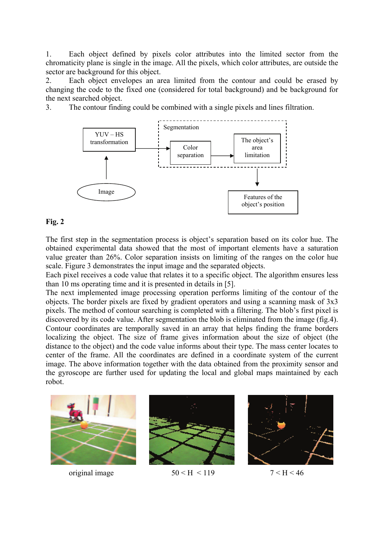1. Each object defined by pixels color attributes into the limited sector from the chromaticity plane is single in the image. All the pixels, which color attributes, are outside the sector are background for this object.

2. Each object envelopes an area limited from the contour and could be erased by changing the code to the fixed one (considered for total background) and be background for the next searched object.

3. The contour finding could be combined with a single pixels and lines filtration.



#### **Fig. 2**

The first step in the segmentation process is object's separation based on its color hue. The obtained experimental data showed that the most of important elements have a saturation value greater than 26%. Color separation insists on limiting of the ranges on the color hue scale. Figure 3 demonstrates the input image and the separated objects.

Each pixel receives a code value that relates it to a specific object. The algorithm ensures less than 10 ms operating time and it is presented in details in [5].

The next implemented image processing operation performs limiting of the contour of the objects. The border pixels are fixed by gradient operators and using a scanning mask of 3x3 pixels. The method of contour searching is completed with a filtering. The blob's first pixel is discovered by its code value. After segmentation the blob is eliminated from the image (fig.4). Contour coordinates are temporally saved in an array that helps finding the frame borders localizing the object. The size of frame gives information about the size of object (the distance to the object) and the code value informs about their type. The mass center locates to center of the frame. All the coordinates are defined in a coordinate system of the current image. The above information together with the data obtained from the proximity sensor and the gyroscope are further used for updating the local and global maps maintained by each robot.





original image  $50 < H < 119$   $7 < H < 46$ 

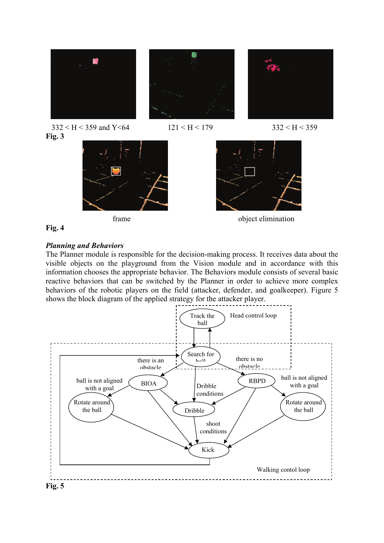



frame object elimination



#### *Planning and Behaviors*

The Planner module is responsible for the decision-making process. It receives data about the visible objects on the playground from the Vision module and in accordance with this information chooses the appropriate behavior. The Behaviors module consists of several basic reactive behaviors that can be switched by the Planner in order to achieve more complex behaviors of the robotic players on the field (attacker, defender, and goalkeeper). Figure 5 shows the block diagram of the applied strategy for the attacker player.

 $\overline{\phantom{a}}$ 



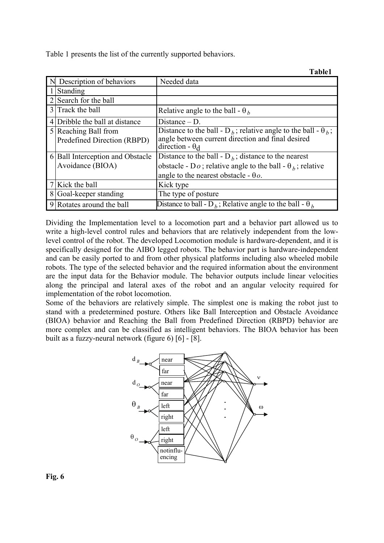Table 1 presents the list of the currently supported behaviors.

|                |                                                     | <b>Table1</b>                                                                                                                                                    |
|----------------|-----------------------------------------------------|------------------------------------------------------------------------------------------------------------------------------------------------------------------|
|                | N Description of behaviors                          | Needed data                                                                                                                                                      |
|                | Standing                                            |                                                                                                                                                                  |
| 2              | Search for the ball                                 |                                                                                                                                                                  |
|                | 3 Track the ball                                    | Relative angle to the ball - $\theta_h$                                                                                                                          |
| $\overline{4}$ | Dribble the ball at distance                        | Distance $- D$ .                                                                                                                                                 |
|                | 5 Reaching Ball from<br>Predefined Direction (RBPD) | Distance to the ball - D <sub>b</sub> ; relative angle to the ball - $\theta_b$ ;<br>angle between current direction and final desired<br>direction - $\theta_d$ |
|                | 6 Ball Interception and Obstacle                    | Distance to the ball - $D_h$ ; distance to the nearest                                                                                                           |
|                | Avoidance (BIOA)                                    | obstacle - Do; relative angle to the ball - $\theta_h$ ; relative                                                                                                |
|                |                                                     | angle to the nearest obstacle - $\theta$ o.                                                                                                                      |
|                | Kick the ball                                       | Kick type                                                                                                                                                        |
| 8              | Goal-keeper standing                                | The type of posture                                                                                                                                              |
|                | 9 Rotates around the ball                           | Distance to ball - D <sub>b</sub> ; Relative angle to the ball - $\theta_h$                                                                                      |

Dividing the Implementation level to a locomotion part and a behavior part allowed us to write a high-level control rules and behaviors that are relatively independent from the lowlevel control of the robot. The developed Locomotion module is hardware-dependent, and it is specifically designed for the AIBO legged robots. The behavior part is hardware-independent and can be easily ported to and from other physical platforms including also wheeled mobile robots. The type of the selected behavior and the required information about the environment are the input data for the Behavior module. The behavior outputs include linear velocities along the principal and lateral axes of the robot and an angular velocity required for implementation of the robot locomotion.

Some of the behaviors are relatively simple. The simplest one is making the robot just to stand with a predetermined posture. Others like Ball Interception and Obstacle Avoidance (BIOA) behavior and Reaching the Ball from Predefined Direction (RBPD) behavior are more complex and can be classified as intelligent behaviors. The BIOA behavior has been built as a fuzzy-neural network (figure 6) [6] - [8].



**Fig. 6**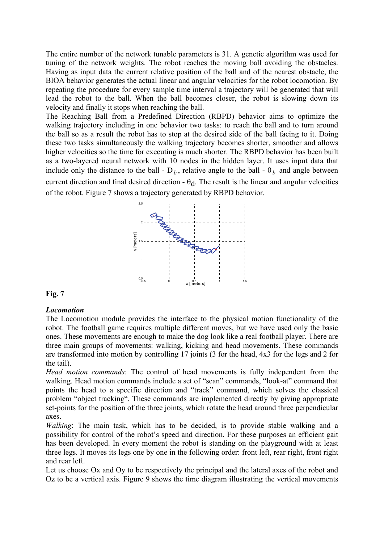The entire number of the network tunable parameters is 31. A genetic algorithm was used for tuning of the network weights. The robot reaches the moving ball avoiding the obstacles. Having as input data the current relative position of the ball and of the nearest obstacle, the BIOA behavior generates the actual linear and angular velocities for the robot locomotion. By repeating the procedure for every sample time interval a trajectory will be generated that will lead the robot to the ball. When the ball becomes closer, the robot is slowing down its velocity and finally it stops when reaching the ball.

The Reaching Ball from a Predefined Direction (RBPD) behavior aims to optimize the walking trajectory including in one behavior two tasks: to reach the ball and to turn around the ball so as a result the robot has to stop at the desired side of the ball facing to it. Doing these two tasks simultaneously the walking trajectory becomes shorter, smoother and allows higher velocities so the time for executing is much shorter. The RBPD behavior has been built as a two-layered neural network with 10 nodes in the hidden layer. It uses input data that include only the distance to the ball -  $D_b$ , relative angle to the ball -  $\theta_b$  and angle between current direction and final desired direction -  $\theta_d$ . The result is the linear and angular velocities of the robot. Figure 7 shows a trajectory generated by RBPD behavior.



#### **Fig. 7**

#### *Locomotion*

The Locomotion module provides the interface to the physical motion functionality of the robot. The football game requires multiple different moves, but we have used only the basic ones. These movements are enough to make the dog look like a real football player. There are three main groups of movements: walking, kicking and head movements. These commands are transformed into motion by controlling 17 joints (3 for the head, 4x3 for the legs and 2 for the tail).

*Head motion commands*: The control of head movements is fully independent from the walking. Head motion commands include a set of "scan" commands, "look-at" command that points the head to a specific direction and "track" command, which solves the classical problem "object tracking". These commands are implemented directly by giving appropriate set-points for the position of the three joints, which rotate the head around three perpendicular axes.

*Walking*: The main task, which has to be decided, is to provide stable walking and a possibility for control of the robot's speed and direction. For these purposes an efficient gait has been developed. In every moment the robot is standing on the playground with at least three legs. It moves its legs one by one in the following order: front left, rear right, front right and rear left.

Let us choose Ox and Oy to be respectively the principal and the lateral axes of the robot and Oz to be a vertical axis. Figure 9 shows the time diagram illustrating the vertical movements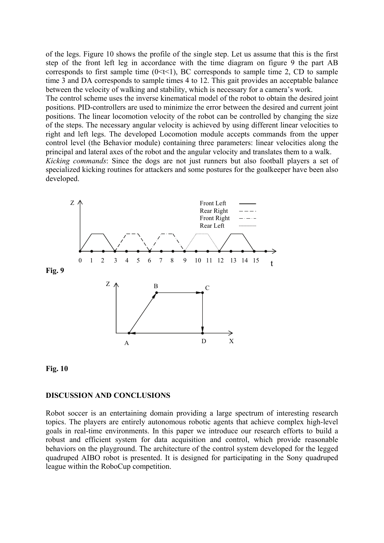of the legs. Figure 10 shows the profile of the single step. Let us assume that this is the first step of the front left leg in accordance with the time diagram on figure 9 the part AB corresponds to first sample time  $(0 \le t \le 1)$ , BC corresponds to sample time 2, CD to sample time 3 and DA corresponds to sample times 4 to 12. This gait provides an acceptable balance between the velocity of walking and stability, which is necessary for a camera's work.

The control scheme uses the inverse kinematical model of the robot to obtain the desired joint positions. PID-controllers are used to minimize the error between the desired and current joint positions. The linear locomotion velocity of the robot can be controlled by changing the size of the steps. The necessary angular velocity is achieved by using different linear velocities to right and left legs. The developed Locomotion module accepts commands from the upper control level (the Behavior module) containing three parameters: linear velocities along the principal and lateral axes of the robot and the angular velocity and translates them to a walk. *Kicking commands*: Since the dogs are not just runners but also football players a set of

specialized kicking routines for attackers and some postures for the goalkeeper have been also developed.



# **Fig. 10**

#### **DISCUSSION AND CONCLUSIONS**

Robot soccer is an entertaining domain providing a large spectrum of interesting research topics. The players are entirely autonomous robotic agents that achieve complex high-level goals in real-time environments. In this paper we introduce our research efforts to build a robust and efficient system for data acquisition and control, which provide reasonable behaviors on the playground. The architecture of the control system developed for the legged quadruped AIBO robot is presented. It is designed for participating in the Sony quadruped league within the RoboCup competition.